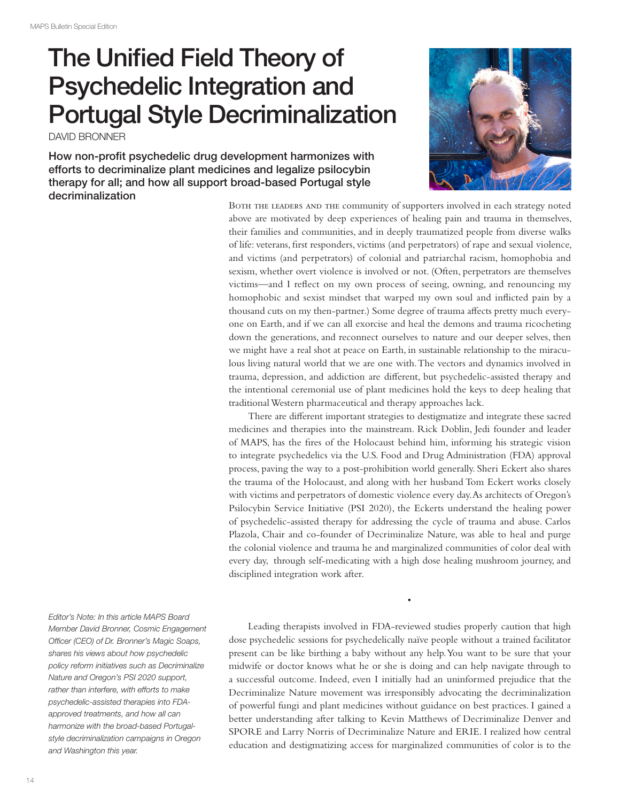## The Unified Field Theory of Psychedelic Integration and Portugal Style Decriminalization

DAVID BRONNER

How non-profit psychedelic drug development harmonizes with efforts to decriminalize plant medicines and legalize psilocybin therapy for all; and how all support broad-based Portugal style decriminalization



BOTH THE LEADERS AND THE community of supporters involved in each strategy noted above are motivated by deep experiences of healing pain and trauma in themselves, their families and communities, and in deeply traumatized people from diverse walks of life: veterans, first responders, victims (and perpetrators) of rape and sexual violence, and victims (and perpetrators) of colonial and patriarchal racism, homophobia and sexism, whether overt violence is involved or not. (Often, perpetrators are themselves victims—and I reflect on my own process of seeing, owning, and renouncing my homophobic and sexist mindset that warped my own soul and inflicted pain by a thousand cuts on my then-partner.) Some degree of trauma affects pretty much everyone on Earth, and if we can all exorcise and heal the demons and trauma ricocheting down the generations, and reconnect ourselves to nature and our deeper selves, then we might have a real shot at peace on Earth, in sustainable relationship to the miraculous living natural world that we are one with. The vectors and dynamics involved in trauma, depression, and addiction are different, but psychedelic-assisted therapy and the intentional ceremonial use of plant medicines hold the keys to deep healing that traditional Western pharmaceutical and therapy approaches lack.

There are different important strategies to destigmatize and integrate these sacred medicines and therapies into the mainstream. Rick Doblin, Jedi founder and leader of MAPS, has the fires of the Holocaust behind him, informing his strategic vision to integrate psychedelics via the U.S. Food and Drug Administration (FDA) approval process, paving the way to a post-prohibition world generally. Sheri Eckert also shares the trauma of the Holocaust, and along with her husband Tom Eckert works closely with victims and perpetrators of domestic violence every day. As architects of Oregon's Psilocybin Service Initiative (PSI 2020), the Eckerts understand the healing power of psychedelic-assisted therapy for addressing the cycle of trauma and abuse. Carlos Plazola, Chair and co-founder of Decriminalize Nature, was able to heal and purge the colonial violence and trauma he and marginalized communities of color deal with every day, through self-medicating with a high dose healing mushroom journey, and disciplined integration work after.

Leading therapists involved in FDA-reviewed studies properly caution that high dose psychedelic sessions for psychedelically naïve people without a trained facilitator present can be like birthing a baby without any help. You want to be sure that your midwife or doctor knows what he or she is doing and can help navigate through to a successful outcome. Indeed, even I initially had an uninformed prejudice that the Decriminalize Nature movement was irresponsibly advocating the decriminalization of powerful fungi and plant medicines without guidance on best practices. I gained a better understanding after talking to Kevin Matthews of Decriminalize Denver and SPORE and Larry Norris of Decriminalize Nature and ERIE. I realized how central education and destigmatizing access for marginalized communities of color is to the

•

*Editor's Note: In this article MAPS Board Member David Bronner, Cosmic Engagement Officer (CEO) of Dr. Bronner's Magic Soaps, shares his views about how psychedelic policy reform initiatives such as Decriminalize Nature and Oregon's PSI 2020 support, rather than interfere, with efforts to make psychedelic-assisted therapies into FDAapproved treatments, and how all can harmonize with the broad-based Portugalstyle decriminalization campaigns in Oregon and Washington this year.*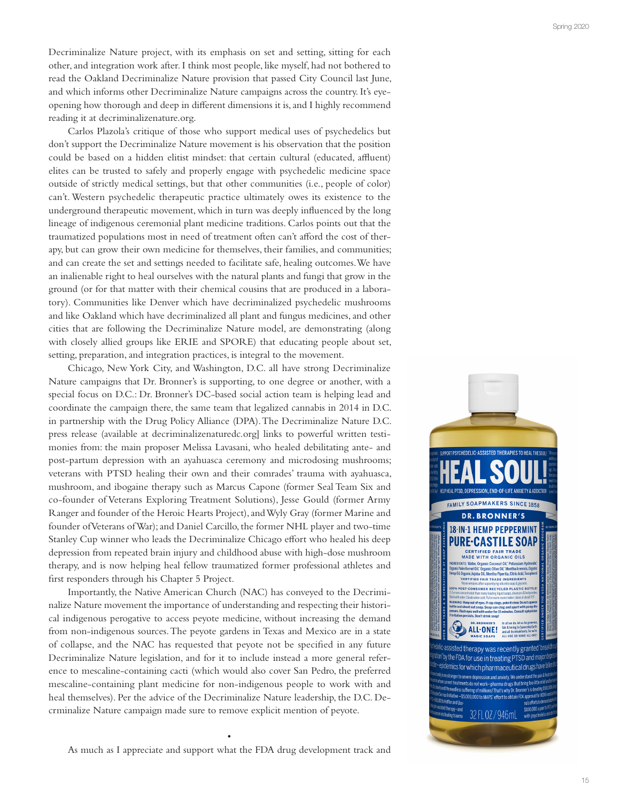Decriminalize Nature project, with its emphasis on set and setting, sitting for each other, and integration work after. I think most people, like myself, had not bothered to read the Oakland Decriminalize Nature provision that passed City Council last June, and which informs other Decriminalize Nature campaigns across the country. It's eyeopening how thorough and deep in different dimensions it is, and I highly recommend reading it at decriminalizenature.org.

Carlos Plazola's critique of those who support medical uses of psychedelics but don't support the Decriminalize Nature movement is his observation that the position could be based on a hidden elitist mindset: that certain cultural (educated, affluent) elites can be trusted to safely and properly engage with psychedelic medicine space outside of strictly medical settings, but that other communities (i.e., people of color) can't. Western psychedelic therapeutic practice ultimately owes its existence to the underground therapeutic movement, which in turn was deeply influenced by the long lineage of indigenous ceremonial plant medicine traditions. Carlos points out that the traumatized populations most in need of treatment often can't afford the cost of therapy, but can grow their own medicine for themselves, their families, and communities; and can create the set and settings needed to facilitate safe, healing outcomes. We have an inalienable right to heal ourselves with the natural plants and fungi that grow in the ground (or for that matter with their chemical cousins that are produced in a labora tory). Communities like Denver which have decriminalized psychedelic mushrooms and like Oakland which have decriminalized all plant and fungus medicines, and other cities that are following the Decriminalize Nature model, are demonstrating (along with closely allied groups like ERIE and SPORE) that educating people about set, setting, preparation, and integration practices, is integral to the movement.

Chicago, New York City, and Washington, D.C. all have strong Decriminalize Nature campaigns that Dr. Bronner's is supporting, to one degree or another, with a special focus on D.C.: Dr. Bronner's DC-based social action team is helping lead and coordinate the campaign there, the same team that legalized cannabis in 2014 in D.C. in partnership with the Drug Policy Alliance (DPA). The Decriminalize Nature D.C. press release (available at decriminalizenaturedc.org] links to powerful written testi monies from: the main proposer Melissa Lavasani, who healed debilitating ante- and post-partum depression with an ayahuasca ceremony and microdosing mushrooms; veterans with PTSD healing their own and their comrades' trauma with ayahuasca, mushroom, and ibogaine therapy such as Marcus Capone (former Seal Team Six and co-founder of Veterans Exploring Treatment Solutions), Jesse Gould (former Army Ranger and founder of the Heroic Hearts Project), and Wyly Gray (former Marine and founder of Veterans of War); and Daniel Carcillo, the former NHL player and two-time Stanley Cup winner who leads the Decriminalize Chicago effort who healed his deep depression from repeated brain injury and childhood abuse with high-dose mushroom therapy, and is now helping heal fellow traumatized former professional athletes and first responders through his Chapter 5 Project.

Importantly, the Native American Church (NAC) has conveyed to the Decrimi nalize Nature movement the importance of understanding and respecting their histori cal indigenous perogative to access peyote medicine, without increasing the demand from non-indigenous sources. The peyote gardens in Texas and Mexico are in a state of collapse, and the NAC has requested that peyote not be specified in any future Decriminalize Nature legislation, and for it to include instead a more general refer ence to mescaline-containing cacti (which would also cover San Pedro, the preferred mescaline-containing plant medicine for non-indigenous people to work with and heal themselves). Per the advice of the Decriminalize Nature leadership, the D.C. De crminalize Nature campaign made sure to remove explicit mention of peyote. •



As much as I appreciate and support what the FDA drug development track and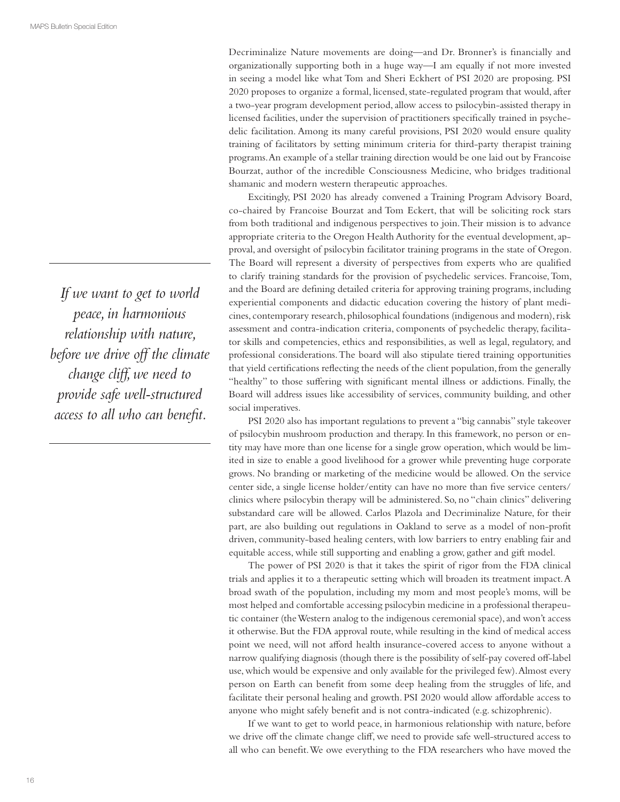*If we want to get to world peace, in harmonious relationship with nature, before we drive o! the climate change cli!, we need to provide safe well-structured access to all who can benefit.* 

Decriminalize Nature movements are doing—and Dr. Bronner's is financially and organizationally supporting both in a huge way—I am equally if not more invested in seeing a model like what Tom and Sheri Eckhert of PSI 2020 are proposing. PSI 2020 proposes to organize a formal, licensed, state-regulated program that would, after a two-year program development period, allow access to psilocybin-assisted therapy in licensed facilities, under the supervision of practitioners specifically trained in psychedelic facilitation. Among its many careful provisions, PSI 2020 would ensure quality training of facilitators by setting minimum criteria for third-party therapist training programs. An example of a stellar training direction would be one laid out by Francoise Bourzat, author of the incredible Consciousness Medicine, who bridges traditional shamanic and modern western therapeutic approaches.

Excitingly, PSI 2020 has already convened a Training Program Advisory Board, co-chaired by Francoise Bourzat and Tom Eckert, that will be soliciting rock stars from both traditional and indigenous perspectives to join. Their mission is to advance appropriate criteria to the Oregon Health Authority for the eventual development, approval, and oversight of psilocybin facilitator training programs in the state of Oregon. The Board will represent a diversity of perspectives from experts who are qualified to clarify training standards for the provision of psychedelic services. Francoise, Tom, and the Board are defining detailed criteria for approving training programs, including experiential components and didactic education covering the history of plant medicines, contemporary research, philosophical foundations (indigenous and modern), risk assessment and contra-indication criteria, components of psychedelic therapy, facilitator skills and competencies, ethics and responsibilities, as well as legal, regulatory, and professional considerations. The board will also stipulate tiered training opportunities that yield certifications reflecting the needs of the client population, from the generally "healthy" to those suffering with significant mental illness or addictions. Finally, the Board will address issues like accessibility of services, community building, and other social imperatives.

PSI 2020 also has important regulations to prevent a "big cannabis" style takeover of psilocybin mushroom production and therapy. In this framework, no person or entity may have more than one license for a single grow operation, which would be limited in size to enable a good livelihood for a grower while preventing huge corporate grows. No branding or marketing of the medicine would be allowed. On the service center side, a single license holder/entity can have no more than five service centers/ clinics where psilocybin therapy will be administered. So, no "chain clinics" delivering substandard care will be allowed. Carlos Plazola and Decriminalize Nature, for their part, are also building out regulations in Oakland to serve as a model of non-profit driven, community-based healing centers, with low barriers to entry enabling fair and equitable access, while still supporting and enabling a grow, gather and gift model.

The power of PSI 2020 is that it takes the spirit of rigor from the FDA clinical trials and applies it to a therapeutic setting which will broaden its treatment impact. A broad swath of the population, including my mom and most people's moms, will be most helped and comfortable accessing psilocybin medicine in a professional therapeutic container (the Western analog to the indigenous ceremonial space), and won't access it otherwise. But the FDA approval route, while resulting in the kind of medical access point we need, will not afford health insurance-covered access to anyone without a narrow qualifying diagnosis (though there is the possibility of self-pay covered off-label use, which would be expensive and only available for the privileged few). Almost every person on Earth can benefit from some deep healing from the struggles of life, and facilitate their personal healing and growth. PSI 2020 would allow affordable access to anyone who might safely benefit and is not contra-indicated (e.g. schizophrenic).

If we want to get to world peace, in harmonious relationship with nature, before we drive off the climate change cliff, we need to provide safe well-structured access to all who can benefit. We owe everything to the FDA researchers who have moved the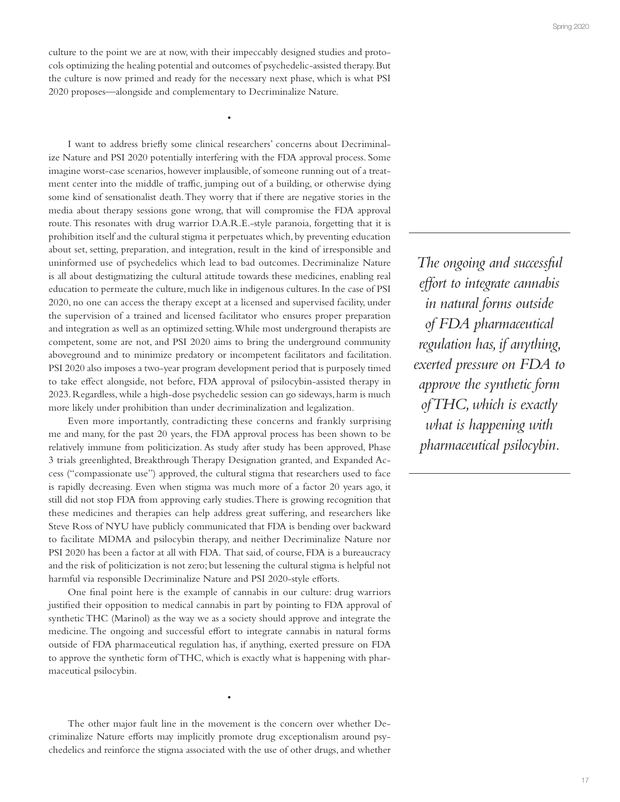culture to the point we are at now, with their impeccably designed studies and protocols optimizing the healing potential and outcomes of psychedelic-assisted therapy. But the culture is now primed and ready for the necessary next phase, which is what PSI 2020 proposes—alongside and complementary to Decriminalize Nature.

•

I want to address briefly some clinical researchers' concerns about Decriminalize Nature and PSI 2020 potentially interfering with the FDA approval process. Some imagine worst-case scenarios, however implausible, of someone running out of a treatment center into the middle of traffic, jumping out of a building, or otherwise dying some kind of sensationalist death. They worry that if there are negative stories in the media about therapy sessions gone wrong, that will compromise the FDA approval route. This resonates with drug warrior D.A.R.E.-style paranoia, forgetting that it is prohibition itself and the cultural stigma it perpetuates which, by preventing education about set, setting, preparation, and integration, result in the kind of irresponsible and uninformed use of psychedelics which lead to bad outcomes. Decriminalize Nature is all about destigmatizing the cultural attitude towards these medicines, enabling real education to permeate the culture, much like in indigenous cultures. In the case of PSI 2020, no one can access the therapy except at a licensed and supervised facility, under the supervision of a trained and licensed facilitator who ensures proper preparation and integration as well as an optimized setting. While most underground therapists are competent, some are not, and PSI 2020 aims to bring the underground community aboveground and to minimize predatory or incompetent facilitators and facilitation. PSI 2020 also imposes a two-year program development period that is purposely timed to take effect alongside, not before, FDA approval of psilocybin-assisted therapy in 2023. Regardless, while a high-dose psychedelic session can go sideways, harm is much more likely under prohibition than under decriminalization and legalization.

Even more importantly, contradicting these concerns and frankly surprising me and many, for the past 20 years, the FDA approval process has been shown to be relatively immune from politicization. As study after study has been approved, Phase 3 trials greenlighted, Breakthrough Therapy Designation granted, and Expanded Access ("compassionate use") approved, the cultural stigma that researchers used to face is rapidly decreasing. Even when stigma was much more of a factor 20 years ago, it still did not stop FDA from approving early studies. There is growing recognition that these medicines and therapies can help address great suffering, and researchers like Steve Ross of NYU have publicly communicated that FDA is bending over backward to facilitate MDMA and psilocybin therapy, and neither Decriminalize Nature nor PSI 2020 has been a factor at all with FDA. That said, of course, FDA is a bureaucracy and the risk of politicization is not zero; but lessening the cultural stigma is helpful not harmful via responsible Decriminalize Nature and PSI 2020-style efforts.

One final point here is the example of cannabis in our culture: drug warriors justified their opposition to medical cannabis in part by pointing to FDA approval of synthetic THC (Marinol) as the way we as a society should approve and integrate the medicine. The ongoing and successful effort to integrate cannabis in natural forms outside of FDA pharmaceutical regulation has, if anything, exerted pressure on FDA to approve the synthetic form of THC, which is exactly what is happening with pharmaceutical psilocybin.

The other major fault line in the movement is the concern over whether Decriminalize Nature efforts may implicitly promote drug exceptionalism around psychedelics and reinforce the stigma associated with the use of other drugs, and whether

•

*The ongoing and successful e!ort to integrate cannabis in natural forms outside of FDA pharmaceutical regulation has, if anything, exerted pressure on FDA to approve the synthetic form of THC, which is exactly what is happening with pharmaceutical psilocybin.*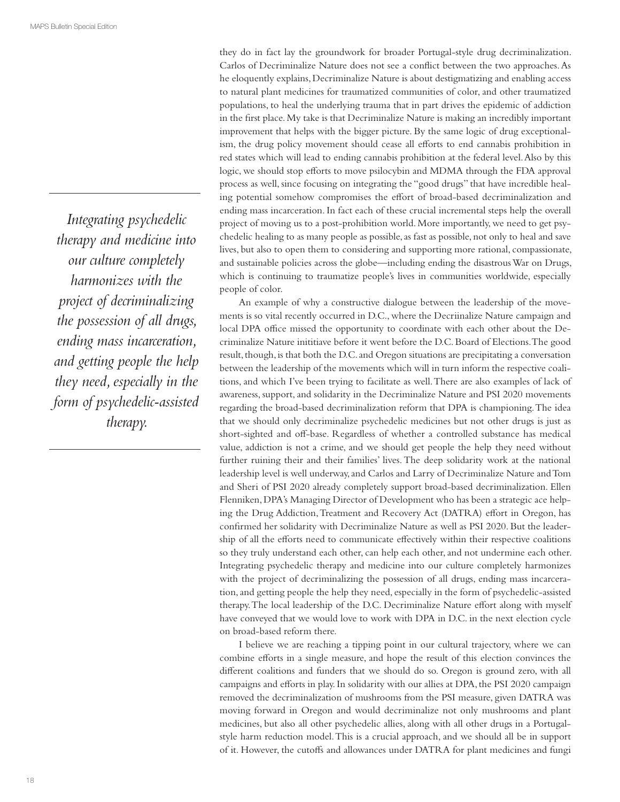*Integrating psychedelic therapy and medicine into our culture completely harmonizes with the project of decriminalizing the possession of all drugs, ending mass incarceration, and getting people the help they need, especially in the form of psychedelic-assisted therapy.* 

they do in fact lay the groundwork for broader Portugal-style drug decriminalization. Carlos of Decriminalize Nature does not see a conflict between the two approaches. As he eloquently explains, Decriminalize Nature is about destigmatizing and enabling access to natural plant medicines for traumatized communities of color, and other traumatized populations, to heal the underlying trauma that in part drives the epidemic of addiction in the first place. My take is that Decriminalize Nature is making an incredibly important improvement that helps with the bigger picture. By the same logic of drug exceptionalism, the drug policy movement should cease all efforts to end cannabis prohibition in red states which will lead to ending cannabis prohibition at the federal level. Also by this logic, we should stop efforts to move psilocybin and MDMA through the FDA approval process as well, since focusing on integrating the "good drugs" that have incredible healing potential somehow compromises the effort of broad-based decriminalization and ending mass incarceration. In fact each of these crucial incremental steps help the overall project of moving us to a post-prohibition world. More importantly, we need to get psychedelic healing to as many people as possible, as fast as possible, not only to heal and save lives, but also to open them to considering and supporting more rational, compassionate, and sustainable policies across the globe—including ending the disastrous War on Drugs, which is continuing to traumatize people's lives in communities worldwide, especially people of color.

An example of why a constructive dialogue between the leadership of the movements is so vital recently occurred in D.C., where the Decriinalize Nature campaign and local DPA office missed the opportunity to coordinate with each other about the Decriminalize Nature inititiave before it went before the D.C. Board of Elections. The good result, though, is that both the D.C. and Oregon situations are precipitating a conversation between the leadership of the movements which will in turn inform the respective coalitions, and which I've been trying to facilitate as well. There are also examples of lack of awareness, support, and solidarity in the Decriminalize Nature and PSI 2020 movements regarding the broad-based decriminalization reform that DPA is championing. The idea that we should only decriminalize psychedelic medicines but not other drugs is just as short-sighted and off-base. Regardless of whether a controlled substance has medical value, addiction is not a crime, and we should get people the help they need without further ruining their and their families' lives. The deep solidarity work at the national leadership level is well underway, and Carlos and Larry of Decriminalize Nature and Tom and Sheri of PSI 2020 already completely support broad-based decriminalization. Ellen Flenniken, DPA's Managing Director of Development who has been a strategic ace helping the Drug Addiction, Treatment and Recovery Act (DATRA) effort in Oregon, has confirmed her solidarity with Decriminalize Nature as well as PSI 2020. But the leadership of all the efforts need to communicate effectively within their respective coalitions so they truly understand each other, can help each other, and not undermine each other. Integrating psychedelic therapy and medicine into our culture completely harmonizes with the project of decriminalizing the possession of all drugs, ending mass incarceration, and getting people the help they need, especially in the form of psychedelic-assisted therapy. The local leadership of the D.C. Decriminalize Nature effort along with myself have conveyed that we would love to work with DPA in D.C. in the next election cycle on broad-based reform there.

I believe we are reaching a tipping point in our cultural trajectory, where we can combine efforts in a single measure, and hope the result of this election convinces the different coalitions and funders that we should do so. Oregon is ground zero, with all campaigns and efforts in play. In solidarity with our allies at DPA, the PSI 2020 campaign removed the decriminalization of mushrooms from the PSI measure, given DATRA was moving forward in Oregon and would decriminalize not only mushrooms and plant medicines, but also all other psychedelic allies, along with all other drugs in a Portugalstyle harm reduction model. This is a crucial approach, and we should all be in support of it. However, the cutoffs and allowances under DATRA for plant medicines and fungi